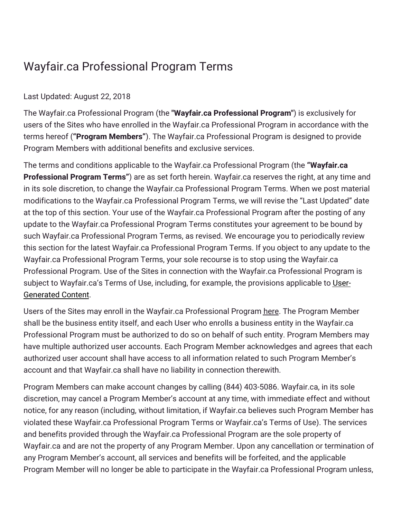## Wayfair.ca Professional Program Terms

## Last Updated: August 22, 2018

The Wayfair.ca Professional Program (the **"Wayfair.ca Professional Program"**) is exclusively for users of the Sites who have enrolled in the Wayfair.ca Professional Program in accordance with the terms hereof (**"Program Members"**). The Wayfair.ca Professional Program is designed to provide Program Members with additional benefits and exclusive services.

The terms and conditions applicable to the Wayfair.ca Professional Program (the **"Wayfair.ca Professional Program Terms"**) are as set forth herein. Wayfair.ca reserves the right, at any time and in its sole discretion, to change the Wayfair.ca Professional Program Terms. When we post material modifications to the Wayfair.ca Professional Program Terms, we will revise the "Last Updated" date at the top of this section. Your use of the Wayfair.ca Professional Program after the posting of any update to the Wayfair.ca Professional Program Terms constitutes your agreement to be bound by such Wayfair.ca Professional Program Terms, as revised. We encourage you to periodically review this section for the latest Wayfair.ca Professional Program Terms. If you object to any update to the Wayfair.ca Professional Program Terms, your sole recourse is to stop using the Wayfair.ca Professional Program. Use of the Sites in connection with the Wayfair.ca Professional Program is subject to [Wayfair.ca's](https://terms.wayfair.io/en-CA#terms-usercontent) Terms of Use, including, for example, the provisions applicable to User-Generated Content.

Users of the Sites may enroll in the Wayfair.ca Professional Program [here.](https://www.wayfair.ca/v/business_account/application/pico?) The Program Member shall be the business entity itself, and each User who enrolls a business entity in the Wayfair.ca Professional Program must be authorized to do so on behalf of such entity. Program Members may have multiple authorized user accounts. Each Program Member acknowledges and agrees that each authorized user account shall have access to all information related to such Program Member's account and that Wayfair.ca shall have no liability in connection therewith.

Program Members can make account changes by calling (844) 403-5086. Wayfair.ca, in its sole discretion, may cancel a Program Member's account at any time, with immediate effect and without notice, for any reason (including, without limitation, if Wayfair.ca believes such Program Member has violated these Wayfair.ca Professional Program Terms or Wayfair.ca's Terms of Use). The services and benefits provided through the Wayfair.ca Professional Program are the sole property of Wayfair.ca and are not the property of any Program Member. Upon any cancellation or termination of any Program Member's account, all services and benefits will be forfeited, and the applicable Program Member will no longer be able to participate in the Wayfair.ca Professional Program unless,